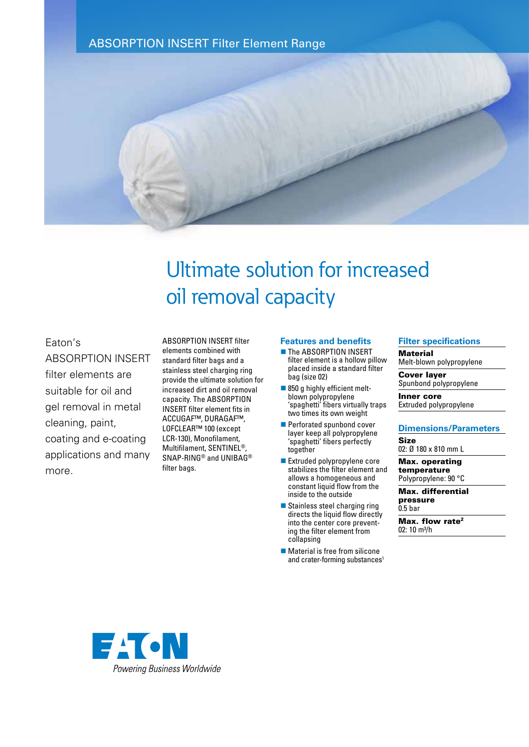# ABSORPTION INSERT Filter Element Range



# Ultimate solution for increased oil removal capacity

Eaton's ABSORPTION INSERT filter elements are suitable for oil and gel removal in metal cleaning, paint, coating and e-coating applications and many more.

ABSORPTION INSERT filter elements combined with standard filter bags and a stainless steel charging ring provide the ultimate solution for increased dirt and oil removal capacity. The ABSORPTION INSERT filter element fits in ACCUGAF™, DURAGAF™, LOFCLEAR™ 100 (except LCR-130), Monofilament, Multifilament, SENTINEL®, SNAP-RING® and UNIBAG® filter bags.

### **Features and benefits**

- **n** The ABSORPTION INSERT filter element is a hollow pillow placed inside a standard filter bag (size 02)
- $\blacksquare$  850 g highly efficient meltblown polypropylene 'spaghetti' fibers virtually traps two times its own weight
- **Perforated spunbond cover** layer keep all polypropylene 'spaghetti' fibers perfectly together
- Extruded polypropylene core stabilizes the filter element and allows a homogeneous and constant liquid flow from the inside to the outside
- Stainless steel charging ring directs the liquid flow directly into the center core preventing the filter element from collapsing
- $\blacksquare$  Material is free from silicone and crater-forming substances<sup>1</sup>

## **Filter specifications**

**Material** 

Melt-blown polypropylene

Cover layer Spunbond polypropylene

Inner core Extruded polypropylene

#### **Dimensions/Parameters**

Size 02: Ø 180 x 810 mm L

Max. operating temperature Polypropylene: 90 °C

Max. differential pressure 0.5 bar

Max. flow rate<sup>2</sup>

02: 10 m<sup>3</sup>/h